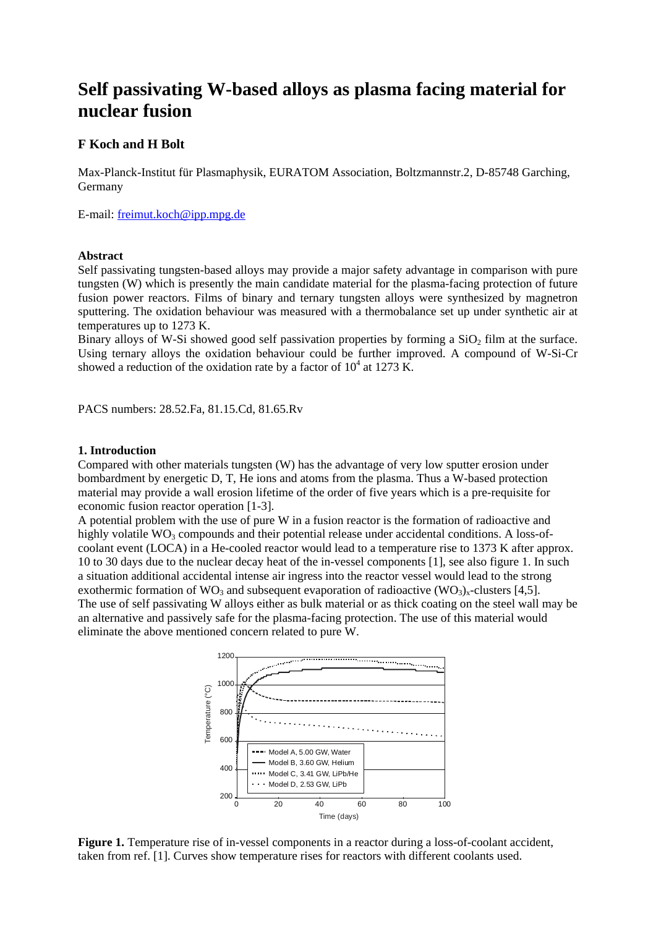# **Self passivating W-based alloys as plasma facing material for nuclear fusion**

## **F Koch and H Bolt**

Max-Planck-Institut für Plasmaphysik, EURATOM Association, Boltzmannstr.2, D-85748 Garching, Germany

E-mail: freimut.koch@ipp.mpg.de

#### **Abstract**

Self passivating tungsten-based alloys may provide a major safety advantage in comparison with pure tungsten (W) which is presently the main candidate material for the plasma-facing protection of future fusion power reactors. Films of binary and ternary tungsten alloys were synthesized by magnetron sputtering. The oxidation behaviour was measured with a thermobalance set up under synthetic air at temperatures up to 1273 K.

Binary alloys of W-Si showed good self passivation properties by forming a  $SiO<sub>2</sub>$  film at the surface. Using ternary alloys the oxidation behaviour could be further improved. A compound of W-Si-Cr showed a reduction of the oxidation rate by a factor of  $10^4$  at 1273 K.

PACS numbers: 28.52.Fa, 81.15.Cd, 81.65.Rv

#### **1. Introduction**

Compared with other materials tungsten (W) has the advantage of very low sputter erosion under bombardment by energetic D, T, He ions and atoms from the plasma. Thus a W-based protection material may provide a wall erosion lifetime of the order of five years which is a pre-requisite for economic fusion reactor operation [1-3].

A potential problem with the use of pure W in a fusion reactor is the formation of radioactive and highly volatile  $WO_3$  compounds and their potential release under accidental conditions. A loss-ofcoolant event (LOCA) in a He-cooled reactor would lead to a temperature rise to 1373 K after approx. 10 to 30 days due to the nuclear decay heat of the in-vessel components [1], see also figure 1. In such a situation additional accidental intense air ingress into the reactor vessel would lead to the strong exothermic formation of WO<sub>3</sub> and subsequent evaporation of radioactive (WO<sub>3</sub>)<sub>x</sub>-clusters [4,5]. The use of self passivating W alloys either as bulk material or as thick coating on the steel wall may be an alternative and passively safe for the plasma-facing protection. The use of this material would eliminate the above mentioned concern related to pure W.



Figure 1. Temperature rise of in-vessel components in a reactor during a loss-of-coolant accident, taken from ref. [1]. Curves show temperature rises for reactors with different coolants used.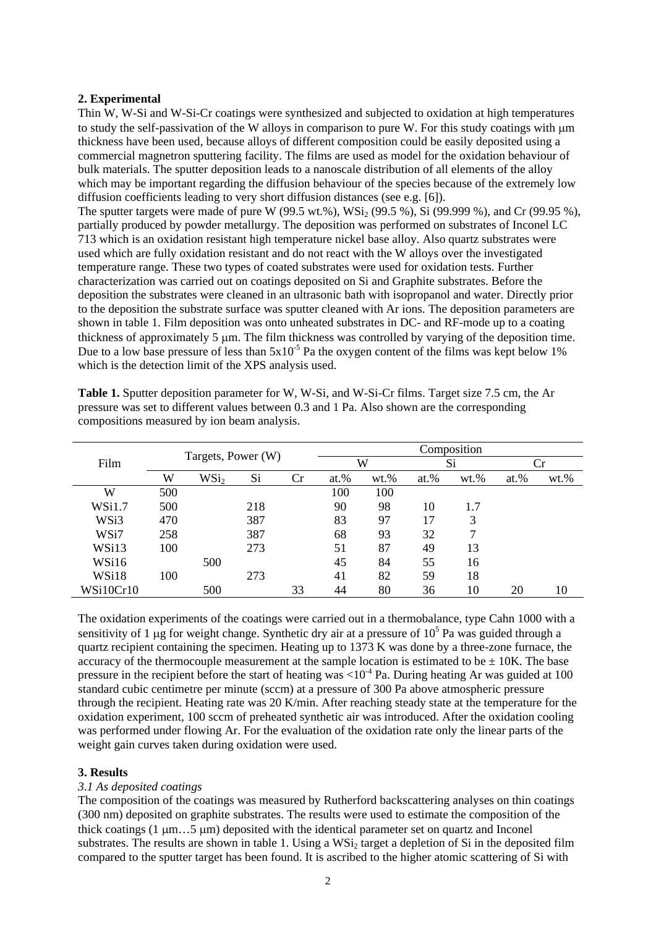## **2. Experimental**

Thin W, W-Si and W-Si-Cr coatings were synthesized and subjected to oxidation at high temperatures to study the self-passivation of the W alloys in comparison to pure W. For this study coatings with μm thickness have been used, because alloys of different composition could be easily deposited using a commercial magnetron sputtering facility. The films are used as model for the oxidation behaviour of bulk materials. The sputter deposition leads to a nanoscale distribution of all elements of the alloy which may be important regarding the diffusion behaviour of the species because of the extremely low diffusion coefficients leading to very short diffusion distances (see e.g. [6]).

The sputter targets were made of pure W (99.5 wt.%),  $WSi_2$  (99.5 %), Si (99.999 %), and Cr (99.95 %), partially produced by powder metallurgy. The deposition was performed on substrates of Inconel LC 713 which is an oxidation resistant high temperature nickel base alloy. Also quartz substrates were used which are fully oxidation resistant and do not react with the W alloys over the investigated temperature range. These two types of coated substrates were used for oxidation tests. Further characterization was carried out on coatings deposited on Si and Graphite substrates. Before the deposition the substrates were cleaned in an ultrasonic bath with isopropanol and water. Directly prior to the deposition the substrate surface was sputter cleaned with Ar ions. The deposition parameters are shown in table 1. Film deposition was onto unheated substrates in DC- and RF-mode up to a coating thickness of approximately 5 μm. The film thickness was controlled by varying of the deposition time. Due to a low base pressure of less than  $5x10^{-5}$  Pa the oxygen content of the films was kept below 1% which is the detection limit of the XPS analysis used.

|           | Targets, Power (W) |                  |     |    | Composition |         |         |         |         |         |
|-----------|--------------------|------------------|-----|----|-------------|---------|---------|---------|---------|---------|
| Film      |                    |                  |     |    | W           |         | Si      |         | Сr      |         |
|           | W                  | WSi <sub>2</sub> | Si  | Cr | at.%        | $wt.$ % | $at.$ % | $wt.$ % | $at.$ % | $wt.$ % |
| W         | 500                |                  |     |    | 100         | 100     |         |         |         |         |
| WSi1.7    | 500                |                  | 218 |    | 90          | 98      | 10      | 1.7     |         |         |
| WSi3      | 470                |                  | 387 |    | 83          | 97      | 17      | 3       |         |         |
| WSi7      | 258                |                  | 387 |    | 68          | 93      | 32      | ┑       |         |         |
| WSi13     | 100                |                  | 273 |    | 51          | 87      | 49      | 13      |         |         |
| WSi16     |                    | 500              |     |    | 45          | 84      | 55      | 16      |         |         |
| WSi18     | 100                |                  | 273 |    | 41          | 82      | 59      | 18      |         |         |
| WSi10Cr10 |                    | 500              |     | 33 | 44          | 80      | 36      | 10      | 20      | 10      |

**Table 1.** Sputter deposition parameter for W, W-Si, and W-Si-Cr films. Target size 7.5 cm, the Ar pressure was set to different values between 0.3 and 1 Pa. Also shown are the corresponding compositions measured by ion beam analysis.

The oxidation experiments of the coatings were carried out in a thermobalance, type Cahn 1000 with a sensitivity of 1 µg for weight change. Synthetic dry air at a pressure of  $10^5$  Pa was guided through a quartz recipient containing the specimen. Heating up to 1373 K was done by a three-zone furnace, the accuracy of the thermocouple measurement at the sample location is estimated to be  $\pm$  10K. The base pressure in the recipient before the start of heating was  $\lt 10^{-4}$  Pa. During heating Ar was guided at 100 standard cubic centimetre per minute (sccm) at a pressure of 300 Pa above atmospheric pressure through the recipient. Heating rate was 20 K/min. After reaching steady state at the temperature for the oxidation experiment, 100 sccm of preheated synthetic air was introduced. After the oxidation cooling was performed under flowing Ar. For the evaluation of the oxidation rate only the linear parts of the weight gain curves taken during oxidation were used.

## **3. Results**

## *3.1 As deposited coatings*

The composition of the coatings was measured by Rutherford backscattering analyses on thin coatings (300 nm) deposited on graphite substrates. The results were used to estimate the composition of the thick coatings (1 μm…5 μm) deposited with the identical parameter set on quartz and Inconel substrates. The results are shown in table 1. Using a WSi<sub>2</sub> target a depletion of Si in the deposited film compared to the sputter target has been found. It is ascribed to the higher atomic scattering of Si with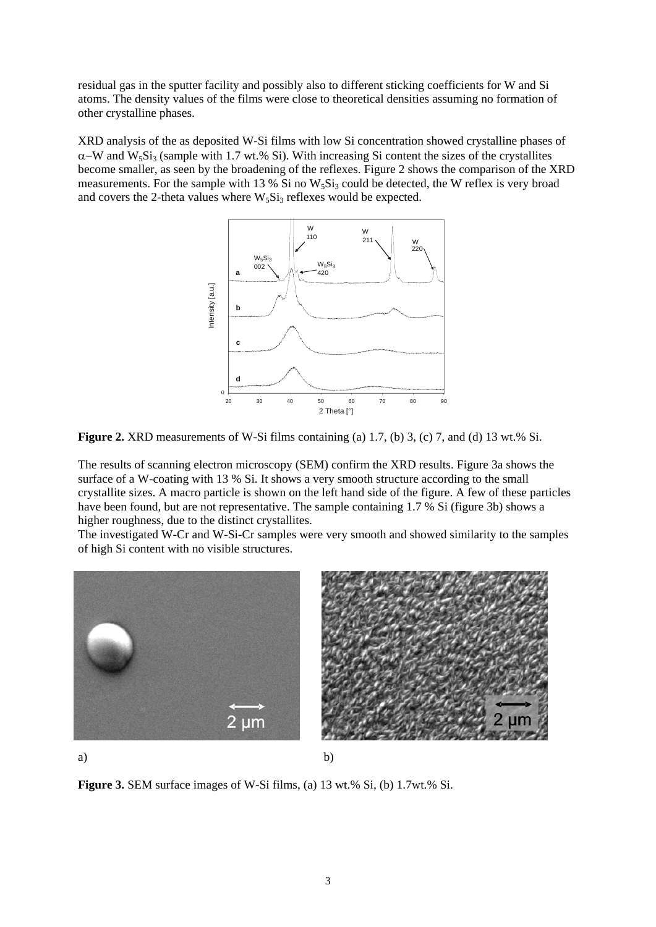residual gas in the sputter facility and possibly also to different sticking coefficients for W and Si atoms. The density values of the films were close to theoretical densities assuming no formation of other crystalline phases.

XRD analysis of the as deposited W-Si films with low Si concentration showed crystalline phases of  $\alpha$ −W and W<sub>5</sub>Si<sub>3</sub> (sample with 1.7 wt.% Si). With increasing Si content the sizes of the crystallites become smaller, as seen by the broadening of the reflexes. Figure 2 shows the comparison of the XRD measurements. For the sample with 13 % Si no  $W_5Si_3$  could be detected, the W reflex is very broad and covers the 2-theta values where  $W_5Si_3$  reflexes would be expected.





The results of scanning electron microscopy (SEM) confirm the XRD results. Figure 3a shows the surface of a W-coating with 13 % Si. It shows a very smooth structure according to the small crystallite sizes. A macro particle is shown on the left hand side of the figure. A few of these particles have been found, but are not representative. The sample containing 1.7 % Si (figure 3b) shows a higher roughness, due to the distinct crystallites.

The investigated W-Cr and W-Si-Cr samples were very smooth and showed similarity to the samples of high Si content with no visible structures.



a) b)

**Figure 3.** SEM surface images of W-Si films, (a) 13 wt.% Si, (b) 1.7wt.% Si.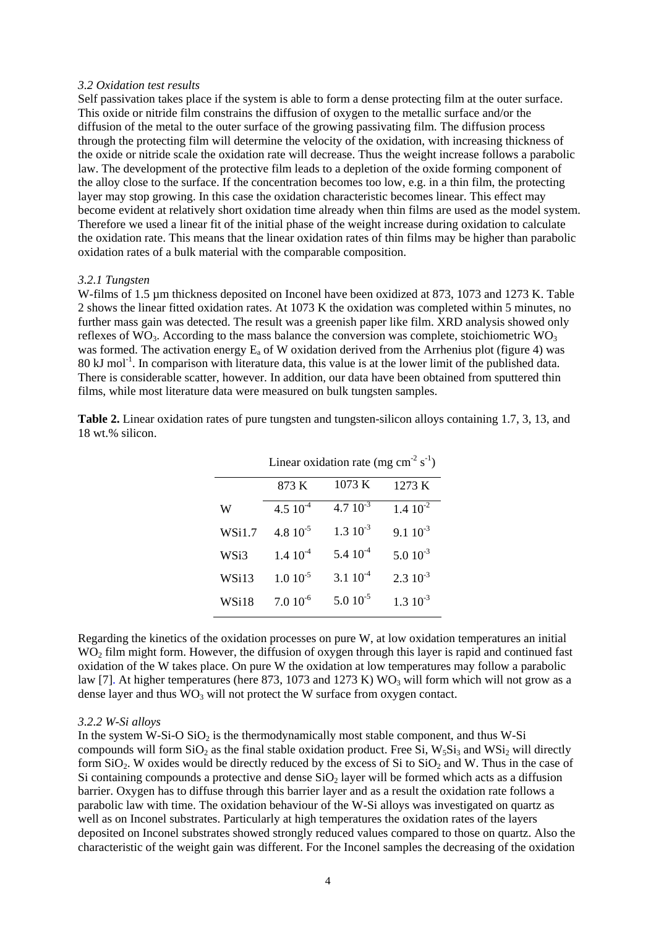#### *3.2 Oxidation test results*

Self passivation takes place if the system is able to form a dense protecting film at the outer surface. This oxide or nitride film constrains the diffusion of oxygen to the metallic surface and/or the diffusion of the metal to the outer surface of the growing passivating film. The diffusion process through the protecting film will determine the velocity of the oxidation, with increasing thickness of the oxide or nitride scale the oxidation rate will decrease. Thus the weight increase follows a parabolic law. The development of the protective film leads to a depletion of the oxide forming component of the alloy close to the surface. If the concentration becomes too low, e.g. in a thin film, the protecting layer may stop growing. In this case the oxidation characteristic becomes linear. This effect may become evident at relatively short oxidation time already when thin films are used as the model system. Therefore we used a linear fit of the initial phase of the weight increase during oxidation to calculate the oxidation rate. This means that the linear oxidation rates of thin films may be higher than parabolic oxidation rates of a bulk material with the comparable composition.

#### *3.2.1 Tungsten*

W-films of 1.5 µm thickness deposited on Inconel have been oxidized at 873, 1073 and 1273 K. Table 2 shows the linear fitted oxidation rates. At 1073 K the oxidation was completed within 5 minutes, no further mass gain was detected. The result was a greenish paper like film. XRD analysis showed only reflexes of  $\rm WO_3$ . According to the mass balance the conversion was complete, stoichiometric  $\rm WO_3$ was formed. The activation energy  $E_a$  of W oxidation derived from the Arrhenius plot (figure 4) was  $80 \text{ kJ}$  mol<sup>-1</sup>. In comparison with literature data, this value is at the lower limit of the published data. There is considerable scatter, however. In addition, our data have been obtained from sputtered thin films, while most literature data were measured on bulk tungsten samples.

|        | Linear oxidation rate (mg cm <sup>-2</sup> s <sup>-1</sup> ) |                  |                      |  |  |  |  |
|--------|--------------------------------------------------------------|------------------|----------------------|--|--|--|--|
|        | 873 K                                                        | 1073 K           | 1273 K               |  |  |  |  |
| W      | 4.5 $10^{-4}$                                                | $4.7 \; 10^{-3}$ | $1.4 \, 10^{-2}$     |  |  |  |  |
| WSi1.7 | 4.8 $10^{-5}$                                                | $1.3 \; 10^{-3}$ | $9.1 \, 10^{-3}$     |  |  |  |  |
| WSi3   | $1.4~10^{-4}$                                                | $5.4~10^{-4}$    | $5.010^{-3}$         |  |  |  |  |
| WSi13  | $1.010^{-5}$                                                 | $3.1 \, 10^{-4}$ | $2.3 \times 10^{-3}$ |  |  |  |  |
| WSi18  | $7.010^{-6}$                                                 | $5.010^{-5}$     | $1.3 \, 10^{-3}$     |  |  |  |  |

**Table 2.** Linear oxidation rates of pure tungsten and tungsten-silicon alloys containing 1.7, 3, 13, and 18 wt.% silicon.

Regarding the kinetics of the oxidation processes on pure W, at low oxidation temperatures an initial WO<sub>2</sub> film might form. However, the diffusion of oxygen through this layer is rapid and continued fast oxidation of the W takes place. On pure W the oxidation at low temperatures may follow a parabolic law [7]. At higher temperatures (here 873, 1073 and 1273 K)  $WO_3$  will form which will not grow as a dense layer and thus  $\overline{WO}_3$  will not protect the W surface from oxygen contact.

#### *3.2.2 W-Si alloys*

In the system W-Si-O  $SiO<sub>2</sub>$  is the thermodynamically most stable component, and thus W-Si compounds will form  $SiO_2$  as the final stable oxidation product. Free Si,  $W_5Si_3$  and  $WSi_2$  will directly form  $SiO<sub>2</sub>$ . W oxides would be directly reduced by the excess of  $Si$  to  $SiO<sub>2</sub>$  and W. Thus in the case of Si containing compounds a protective and dense  $SiO<sub>2</sub>$  layer will be formed which acts as a diffusion barrier. Oxygen has to diffuse through this barrier layer and as a result the oxidation rate follows a parabolic law with time. The oxidation behaviour of the W-Si alloys was investigated on quartz as well as on Inconel substrates. Particularly at high temperatures the oxidation rates of the layers deposited on Inconel substrates showed strongly reduced values compared to those on quartz. Also the characteristic of the weight gain was different. For the Inconel samples the decreasing of the oxidation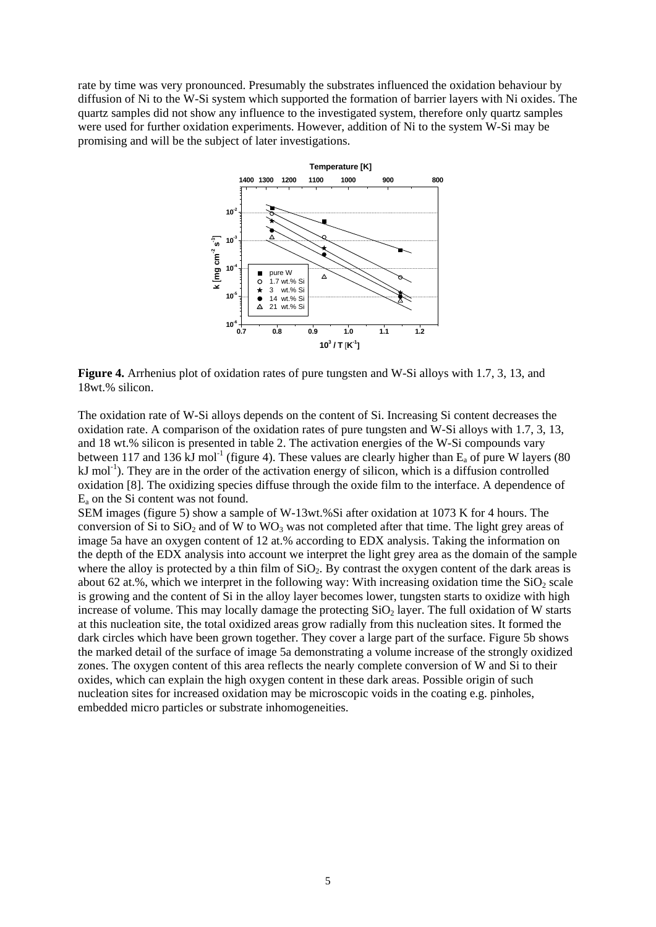rate by time was very pronounced. Presumably the substrates influenced the oxidation behaviour by diffusion of Ni to the W-Si system which supported the formation of barrier layers with Ni oxides. The quartz samples did not show any influence to the investigated system, therefore only quartz samples were used for further oxidation experiments. However, addition of Ni to the system W-Si may be promising and will be the subject of later investigations.



**Figure 4.** Arrhenius plot of oxidation rates of pure tungsten and W-Si alloys with 1.7, 3, 13, and 18wt.% silicon.

The oxidation rate of W-Si alloys depends on the content of Si. Increasing Si content decreases the oxidation rate. A comparison of the oxidation rates of pure tungsten and W-Si alloys with 1.7, 3, 13, and 18 wt.% silicon is presented in table 2. The activation energies of the W-Si compounds vary between 117 and 136 kJ mol<sup>-1</sup> (figure 4). These values are clearly higher than  $E_a$  of pure W layers (80)  $kJ$  mol<sup>-1</sup>). They are in the order of the activation energy of silicon, which is a diffusion controlled oxidation [8]. The oxidizing species diffuse through the oxide film to the interface. A dependence of  $E_a$  on the Si content was not found.

SEM images (figure 5) show a sample of W-13wt.%Si after oxidation at 1073 K for 4 hours. The conversion of Si to  $SiO<sub>2</sub>$  and of W to WO<sub>3</sub> was not completed after that time. The light grey areas of image 5a have an oxygen content of 12 at.% according to EDX analysis. Taking the information on the depth of the EDX analysis into account we interpret the light grey area as the domain of the sample where the alloy is protected by a thin film of  $SiO<sub>2</sub>$ . By contrast the oxygen content of the dark areas is about 62 at.%, which we interpret in the following way: With increasing oxidation time the  $SiO<sub>2</sub>$  scale is growing and the content of Si in the alloy layer becomes lower, tungsten starts to oxidize with high increase of volume. This may locally damage the protecting  $SiO<sub>2</sub>$  layer. The full oxidation of W starts at this nucleation site, the total oxidized areas grow radially from this nucleation sites. It formed the dark circles which have been grown together. They cover a large part of the surface. Figure 5b shows the marked detail of the surface of image 5a demonstrating a volume increase of the strongly oxidized zones. The oxygen content of this area reflects the nearly complete conversion of W and Si to their oxides, which can explain the high oxygen content in these dark areas. Possible origin of such nucleation sites for increased oxidation may be microscopic voids in the coating e.g. pinholes, embedded micro particles or substrate inhomogeneities.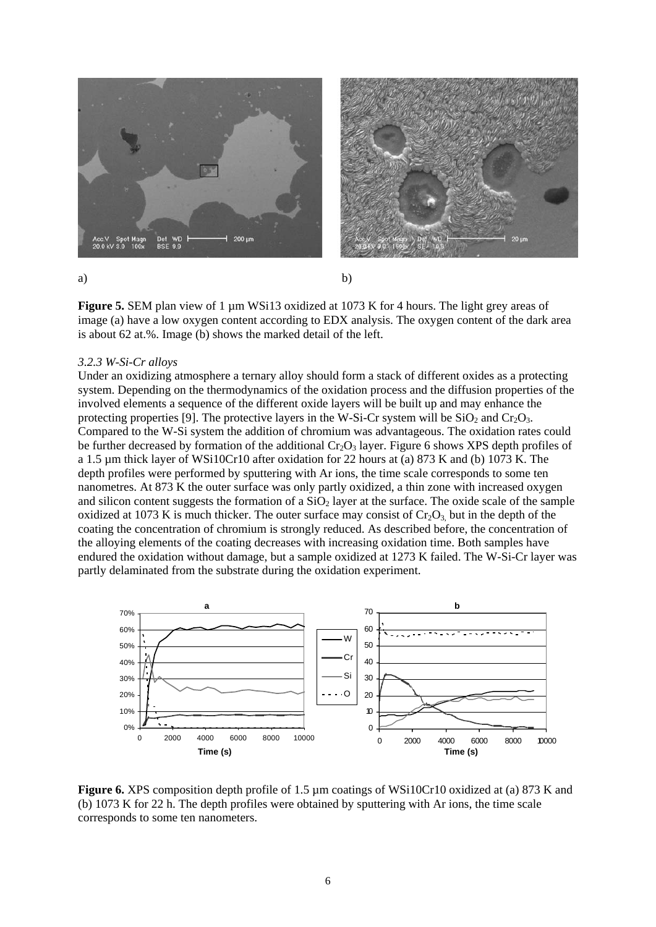



a) b)

**Figure 5.** SEM plan view of 1 µm WSi13 oxidized at 1073 K for 4 hours. The light grey areas of image (a) have a low oxygen content according to EDX analysis. The oxygen content of the dark area is about 62 at.%. Image (b) shows the marked detail of the left.

## *3.2.3 W-Si-Cr alloys*

Under an oxidizing atmosphere a ternary alloy should form a stack of different oxides as a protecting system. Depending on the thermodynamics of the oxidation process and the diffusion properties of the involved elements a sequence of the different oxide layers will be built up and may enhance the protecting properties [9]. The protective layers in the W-Si-Cr system will be  $SiO<sub>2</sub>$  and  $Cr<sub>2</sub>O<sub>3</sub>$ . Compared to the W-Si system the addition of chromium was advantageous. The oxidation rates could be further decreased by formation of the additional  $Cr_2O_3$  layer. Figure 6 shows XPS depth profiles of a 1.5 µm thick layer of WSi10Cr10 after oxidation for 22 hours at (a) 873 K and (b) 1073 K. The depth profiles were performed by sputtering with Ar ions, the time scale corresponds to some ten nanometres. At 873 K the outer surface was only partly oxidized, a thin zone with increased oxygen and silicon content suggests the formation of a  $SiO<sub>2</sub>$  layer at the surface. The oxide scale of the sample oxidized at 1073 K is much thicker. The outer surface may consist of  $Cr_2O_3$  but in the depth of the coating the concentration of chromium is strongly reduced. As described before, the concentration of the alloying elements of the coating decreases with increasing oxidation time. Both samples have endured the oxidation without damage, but a sample oxidized at 1273 K failed. The W-Si-Cr layer was partly delaminated from the substrate during the oxidation experiment.



**Figure 6.** XPS composition depth profile of 1.5 µm coatings of WSi10Cr10 oxidized at (a) 873 K and (b) 1073 K for 22 h. The depth profiles were obtained by sputtering with Ar ions, the time scale corresponds to some ten nanometers.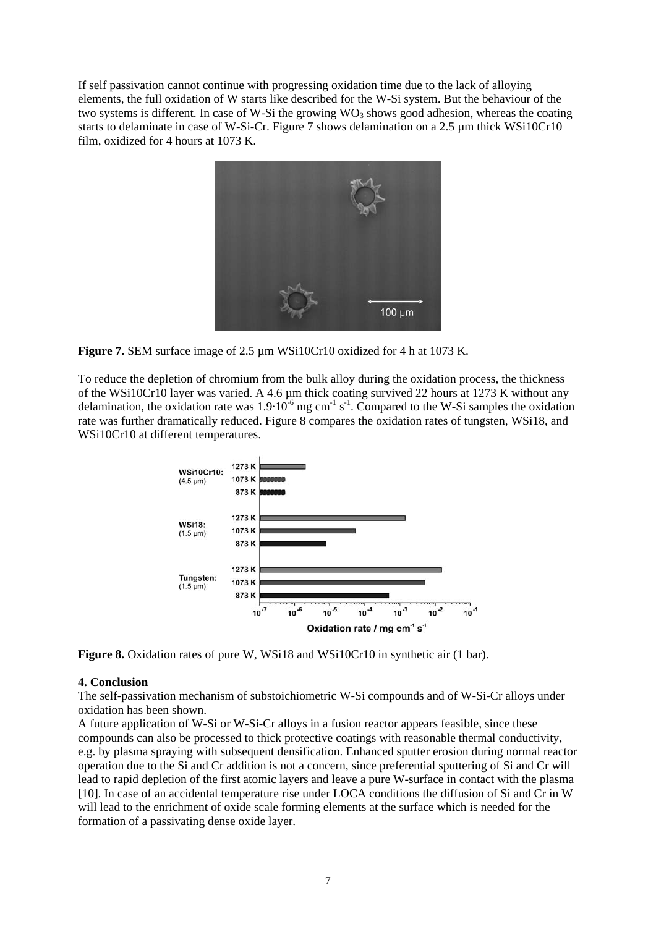If self passivation cannot continue with progressing oxidation time due to the lack of alloying elements, the full oxidation of W starts like described for the W-Si system. But the behaviour of the two systems is different. In case of W-Si the growing  $WO_3$  shows good adhesion, whereas the coating starts to delaminate in case of W-Si-Cr. Figure 7 shows delamination on a 2.5 µm thick WSi10Cr10 film, oxidized for 4 hours at 1073 K.



**Figure 7.** SEM surface image of 2.5 µm WSi10Cr10 oxidized for 4 h at 1073 K.

To reduce the depletion of chromium from the bulk alloy during the oxidation process, the thickness of the WSi10Cr10 layer was varied. A 4.6 µm thick coating survived 22 hours at 1273 K without any delamination, the oxidation rate was  $1.9 \cdot 10^{-6}$  mg cm<sup>-1</sup> s<sup>-1</sup>. Compared to the W-Si samples the oxidation rate was further dramatically reduced. Figure 8 compares the oxidation rates of tungsten, WSi18, and WSi10Cr10 at different temperatures.



**Figure 8.** Oxidation rates of pure W, WSi18 and WSi10Cr10 in synthetic air (1 bar).

## **4. Conclusion**

The self-passivation mechanism of substoichiometric W-Si compounds and of W-Si-Cr alloys under oxidation has been shown.

A future application of W-Si or W-Si-Cr alloys in a fusion reactor appears feasible, since these compounds can also be processed to thick protective coatings with reasonable thermal conductivity, e.g. by plasma spraying with subsequent densification. Enhanced sputter erosion during normal reactor operation due to the Si and Cr addition is not a concern, since preferential sputtering of Si and Cr will lead to rapid depletion of the first atomic layers and leave a pure W-surface in contact with the plasma [10]. In case of an accidental temperature rise under LOCA conditions the diffusion of Si and Cr in W will lead to the enrichment of oxide scale forming elements at the surface which is needed for the formation of a passivating dense oxide layer.